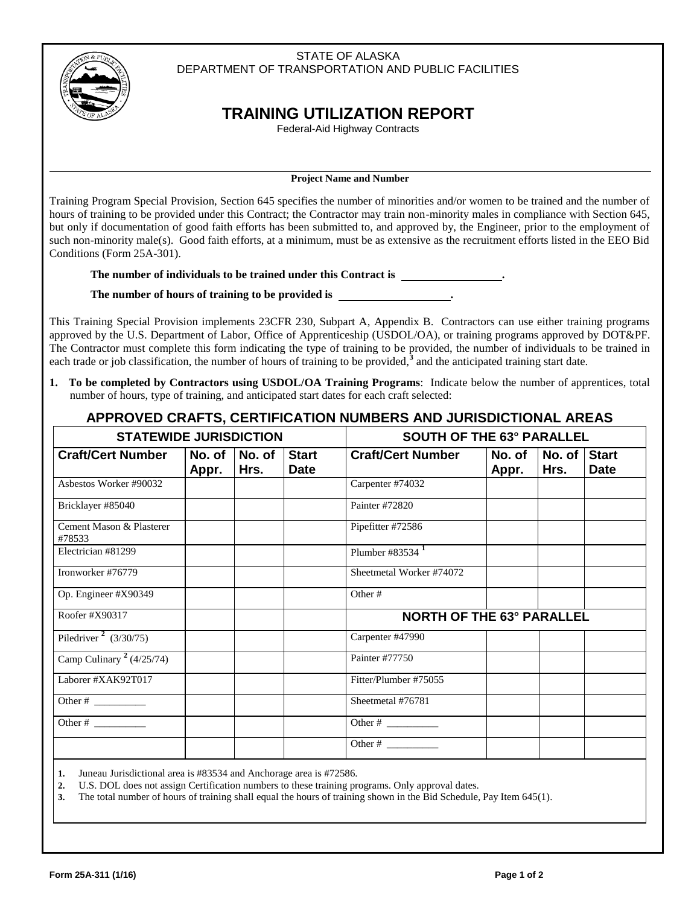## STATE OF ALASKA DEPARTMENT OF TRANSPORTATION AND PUBLIC FACILITIES



## **TRAINING UTILIZATION REPORT**

Federal-Aid Highway Contracts

## **Project Name and Number**

Training Program Special Provision, Section 645 specifies the number of minorities and/or women to be trained and the number of hours of training to be provided under this Contract; the Contractor may train non-minority males in compliance with Section 645, but only if documentation of good faith efforts has been submitted to, and approved by, the Engineer, prior to the employment of such non-minority male(s). Good faith efforts, at a minimum, must be as extensive as the recruitment efforts listed in the EEO Bid Conditions (Form 25A-301).

**The number of individuals to be trained under this Contract is .**

**The number of hours of training to be provided is .**

This Training Special Provision implements 23CFR 230, Subpart A, Appendix B. Contractors can use either training programs approved by the U.S. Department of Labor, Office of Apprenticeship (USDOL/OA), or training programs approved by DOT&PF. The Contractor must complete this form indicating the type of training to be provided, the number of individuals to be trained in each trade or job classification, the number of hours of training to be provided,<sup>3</sup> and the anticipated training start date.

**1. To be completed by Contractors using USDOL/OA Training Programs**: Indicate below the number of apprentices, total number of hours, type of training, and anticipated start dates for each craft selected:

## **APPROVED CRAFTS, CERTIFICATION NUMBERS AND JURISDICTIONAL AREAS**

| <b>STATEWIDE JURISDICTION</b>      |                 |                | <b>SOUTH OF THE 63° PARALLEL</b> |                                  |                 |                |                             |
|------------------------------------|-----------------|----------------|----------------------------------|----------------------------------|-----------------|----------------|-----------------------------|
| <b>Craft/Cert Number</b>           | No. of<br>Appr. | No. of<br>Hrs. | <b>Start</b><br><b>Date</b>      | <b>Craft/Cert Number</b>         | No. of<br>Appr. | No. of<br>Hrs. | <b>Start</b><br><b>Date</b> |
| Asbestos Worker #90032             |                 |                |                                  | Carpenter #74032                 |                 |                |                             |
| Bricklayer #85040                  |                 |                |                                  | Painter #72820                   |                 |                |                             |
| Cement Mason & Plasterer<br>#78533 |                 |                |                                  | Pipefitter #72586                |                 |                |                             |
| Electrician #81299                 |                 |                |                                  | Plumber #83534 $1$               |                 |                |                             |
| Ironworker #76779                  |                 |                |                                  | Sheetmetal Worker #74072         |                 |                |                             |
| Op. Engineer #X90349               |                 |                |                                  | Other#                           |                 |                |                             |
| Roofer #X90317                     |                 |                |                                  | <b>NORTH OF THE 63° PARALLEL</b> |                 |                |                             |
| Piledriver <sup>2</sup> (3/30/75)  |                 |                |                                  | Carpenter #47990                 |                 |                |                             |
| Camp Culinary $2(4/25/74)$         |                 |                |                                  | Painter #77750                   |                 |                |                             |
| Laborer #XAK92T017                 |                 |                |                                  | Fitter/Plumber #75055            |                 |                |                             |
| Other $\#$                         |                 |                |                                  | Sheetmetal #76781                |                 |                |                             |
| Other $#$                          |                 |                |                                  | Other # $\frac{1}{\sqrt{2\pi}}$  |                 |                |                             |
|                                    |                 |                |                                  | Other $#$                        |                 |                |                             |

**1.** Juneau Jurisdictional area is #83534 and Anchorage area is #72586.

**2.** U.S. DOL does not assign Certification numbers to these training programs. Only approval dates.

**3.** The total number of hours of training shall equal the hours of training shown in the Bid Schedule, Pay Item 645(1).